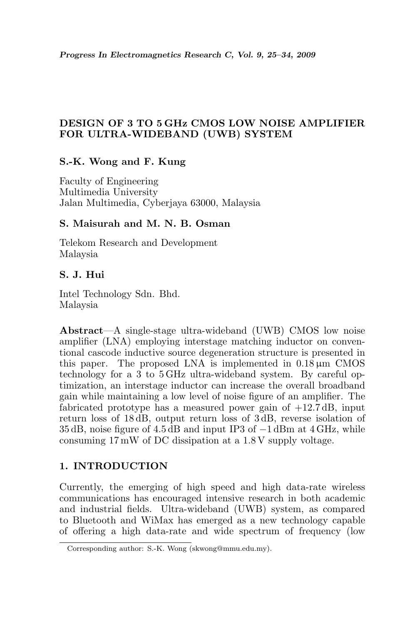# DESIGN OF 3 TO 5 GHz CMOS LOW NOISE AMPLIFIER FOR ULTRA-WIDEBAND (UWB) SYSTEM

# S.-K. Wong and F. Kung

Faculty of Engineering Multimedia University Jalan Multimedia, Cyberjaya 63000, Malaysia

## S. Maisurah and M. N. B. Osman

Telekom Research and Development Malaysia

# S. J. Hui

Intel Technology Sdn. Bhd. Malaysia

Abstract—A single-stage ultra-wideband (UWB) CMOS low noise amplifier (LNA) employing interstage matching inductor on conventional cascode inductive source degeneration structure is presented in this paper. The proposed LNA is implemented in  $0.18 \mu m$  CMOS technology for a 3 to 5 GHz ultra-wideband system. By careful optimization, an interstage inductor can increase the overall broadband gain while maintaining a low level of noise figure of an amplifier. The fabricated prototype has a measured power gain of  $+12.7 \text{ dB}$ , input return loss of 18 dB, output return loss of 3 dB, reverse isolation of 35 dB, noise figure of 4.5 dB and input IP3 of −1 dBm at 4 GHz, while consuming 17 mW of DC dissipation at a 1.8 V supply voltage.

## 1. INTRODUCTION

Currently, the emerging of high speed and high data-rate wireless communications has encouraged intensive research in both academic and industrial fields. Ultra-wideband (UWB) system, as compared to Bluetooth and WiMax has emerged as a new technology capable of offering a high data-rate and wide spectrum of frequency (low

Corresponding author: S.-K. Wong (skwong@mmu.edu.my).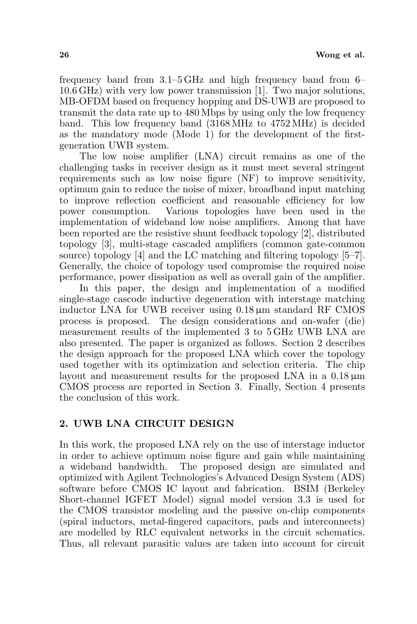frequency band from 3.1–5 GHz and high frequency band from 6– 10.6 GHz) with very low power transmission [1]. Two major solutions, MB-OFDM based on frequency hopping and DS-UWB are proposed to transmit the data rate up to 480 Mbps by using only the low frequency band. This low frequency band (3168 MHz to 4752 MHz) is decided as the mandatory mode (Mode 1) for the development of the firstgeneration UWB system.

The low noise amplifier (LNA) circuit remains as one of the challenging tasks in receiver design as it must meet several stringent requirements such as low noise figure (NF) to improve sensitivity, optimum gain to reduce the noise of mixer, broadband input matching to improve reflection coefficient and reasonable efficiency for low power consumption. Various topologies have been used in the implementation of wideband low noise amplifiers. Among that have been reported are the resistive shunt feedback topology [2], distributed topology [3], multi-stage cascaded amplifiers (common gate-common source) topology [4] and the LC matching and filtering topology [5–7]. Generally, the choice of topology used compromise the required noise performance, power dissipation as well as overall gain of the amplifier.

In this paper, the design and implementation of a modified single-stage cascode inductive degeneration with interstage matching inductor LNA for UWB receiver using 0.18 µm standard RF CMOS process is proposed. The design considerations and on-wafer (die) measurement results of the implemented 3 to 5 GHz UWB LNA are also presented. The paper is organized as follows. Section 2 describes the design approach for the proposed LNA which cover the topology used together with its optimization and selection criteria. The chip layout and measurement results for the proposed LNA in a  $0.18 \,\mu m$ CMOS process are reported in Section 3. Finally, Section 4 presents the conclusion of this work.

### 2. UWB LNA CIRCUIT DESIGN

In this work, the proposed LNA rely on the use of interstage inductor in order to achieve optimum noise figure and gain while maintaining a wideband bandwidth. The proposed design are simulated and optimized with Agilent Technologies's Advanced Design System (ADS) software before CMOS IC layout and fabrication. BSIM (Berkeley Short-channel IGFET Model) signal model version 3.3 is used for the CMOS transistor modeling and the passive on-chip components (spiral inductors, metal-fingered capacitors, pads and interconnects) are modelled by RLC equivalent networks in the circuit schematics. Thus, all relevant parasitic values are taken into account for circuit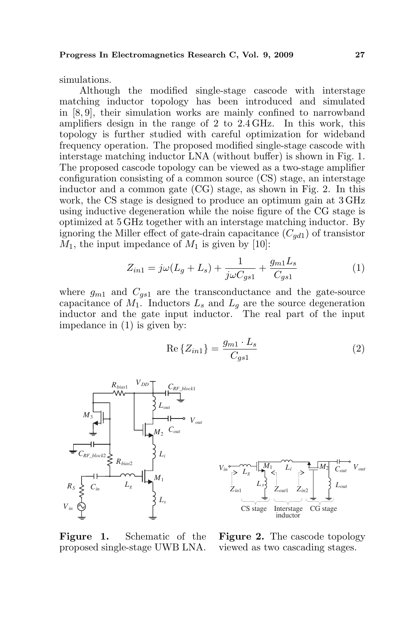simulations.

Although the modified single-stage cascode with interstage matching inductor topology has been introduced and simulated in [8, 9], their simulation works are mainly confined to narrowband amplifiers design in the range of 2 to 2.4 GHz. In this work, this topology is further studied with careful optimization for wideband frequency operation. The proposed modified single-stage cascode with interstage matching inductor LNA (without buffer) is shown in Fig. 1. The proposed cascode topology can be viewed as a two-stage amplifier configuration consisting of a common source (CS) stage, an interstage inductor and a common gate (CG) stage, as shown in Fig. 2. In this work, the CS stage is designed to produce an optimum gain at 3 GHz using inductive degeneration while the noise figure of the CG stage is optimized at 5 GHz together with an interstage matching inductor. By ignoring the Miller effect of gate-drain capacitance  $(C_{ad1})$  of transistor  $M_1$ , the input impedance of  $M_1$  is given by [10]:

$$
Z_{in1} = j\omega(L_g + L_s) + \frac{1}{j\omega C_{gs1}} + \frac{g_{m1}L_s}{C_{gs1}} \tag{1}
$$

where  $g_{m1}$  and  $C_{gs1}$  are the transconductance and the gate-source capacitance of  $M_1$ . Inductors  $L_s$  and  $L_q$  are the source degeneration inductor and the gate input inductor. The real part of the input impedance in (1) is given by:

$$
\operatorname{Re}\left\{Z_{in1}\right\} = \frac{g_{m1} \cdot L_s}{C_{gs1}}\tag{2}
$$





Figure 1. Schematic of the

Figure 2. The cascode topology viewed as two cascading stages.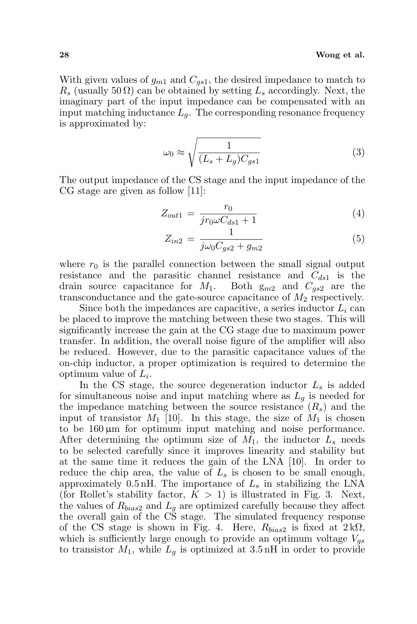#### 28 Wong et al.

With given values of  $g_{m1}$  and  $C_{gs1}$ , the desired impedance to match to  $R_s$  (usually 50  $\Omega$ ) can be obtained by setting  $L_s$  accordingly. Next, the imaginary part of the input impedance can be compensated with an input matching inductance  $L_q$ . The corresponding resonance frequency is approximated by:

$$
\omega_0 \approx \sqrt{\frac{1}{(L_s + L_g)C_{gs1}}}
$$
\n(3)

The output impedance of the CS stage and the input impedance of the CG stage are given as follow [11]:

$$
Z_{out1} = \frac{r_0}{jr_0 \omega C_{ds1} + 1}
$$
 (4)

$$
Z_{in2} = \frac{1}{j\omega_0 C_{gs2} + g_{m2}}\tag{5}
$$

where  $r_0$  is the parallel connection between the small signal output resistance and the parasitic channel resistance and  $C_{ds1}$  is the drain source capacitance for  $M_1$ . Both  $g_{m2}$  and  $C_{gs2}$  are the transconductance and the gate-source capacitance of  $M_2$  respectively.

Since both the impedances are capacitive, a series inductor  $L<sub>i</sub>$  can be placed to improve the matching between these two stages. This will significantly increase the gain at the CG stage due to maximum power transfer. In addition, the overall noise figure of the amplifier will also be reduced. However, due to the parasitic capacitance values of the on-chip inductor, a proper optimization is required to determine the optimum value of  $L_i$ .

In the CS stage, the source degeneration inductor  $L<sub>s</sub>$  is added for simultaneous noise and input matching where as  $L_q$  is needed for the impedance matching between the source resistance  $(R_s)$  and the input of transistor  $M_1$  [10]. In this stage, the size of  $M_1$  is chosen to be  $160 \,\mu \text{m}$  for optimum input matching and noise performance. After determining the optimum size of  $M_1$ , the inductor  $L_s$  needs to be selected carefully since it improves linearity and stability but at the same time it reduces the gain of the LNA [10]. In order to reduce the chip area, the value of  $L<sub>s</sub>$  is chosen to be small enough, approximately  $0.5 \text{ nH}$ . The importance of  $L_s$  in stabilizing the LNA (for Rollet's stability factor,  $K > 1$ ) is illustrated in Fig. 3. Next, the values of  $R_{bias2}$  and  $L_q$  are optimized carefully because they affect the overall gain of the CS stage. The simulated frequency response of the CS stage is shown in Fig. 4. Here,  $R_{bias2}$  is fixed at  $2 \, k\Omega$ , which is sufficiently large enough to provide an optimum voltage  $V_{qs}$ to transistor  $M_1$ , while  $L_q$  is optimized at 3.5 nH in order to provide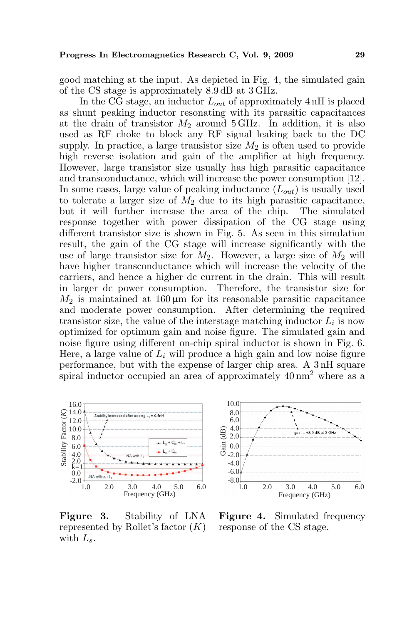good matching at the input. As depicted in Fig. 4, the simulated gain of the CS stage is approximately 8.9 dB at 3 GHz.

In the CG stage, an inductor  $L_{out}$  of approximately 4 nH is placed as shunt peaking inductor resonating with its parasitic capacitances at the drain of transistor  $M_2$  around 5 GHz. In addition, it is also used as RF choke to block any RF signal leaking back to the DC supply. In practice, a large transistor size  $M_2$  is often used to provide high reverse isolation and gain of the amplifier at high frequency. However, large transistor size usually has high parasitic capacitance and transconductance, which will increase the power consumption [12]. In some cases, large value of peaking inductance  $(L_{out})$  is usually used to tolerate a larger size of  $M_2$  due to its high parasitic capacitance, but it will further increase the area of the chip. The simulated response together with power dissipation of the CG stage using different transistor size is shown in Fig. 5. As seen in this simulation result, the gain of the CG stage will increase significantly with the use of large transistor size for  $M_2$ . However, a large size of  $M_2$  will have higher transconductance which will increase the velocity of the carriers, and hence a higher dc current in the drain. This will result in larger dc power consumption. Therefore, the transistor size for  $M_2$  is maintained at 160  $\mu$ m for its reasonable parasitic capacitance and moderate power consumption. After determining the required transistor size, the value of the interstage matching inductor  $L_i$  is now optimized for optimum gain and noise figure. The simulated gain and noise figure using different on-chip spiral inductor is shown in Fig. 6. Here, a large value of  $L_i$  will produce a high gain and low noise figure performance, but with the expense of larger chip area. A 3 nH square spiral inductor occupied an area of approximately  $40 \text{ nm}^2$  where as a



Figure 3. Stability of LNA represented by Rollet's factor  $(K)$ with  $L_s$ .



Figure 4. Simulated frequency response of the CS stage.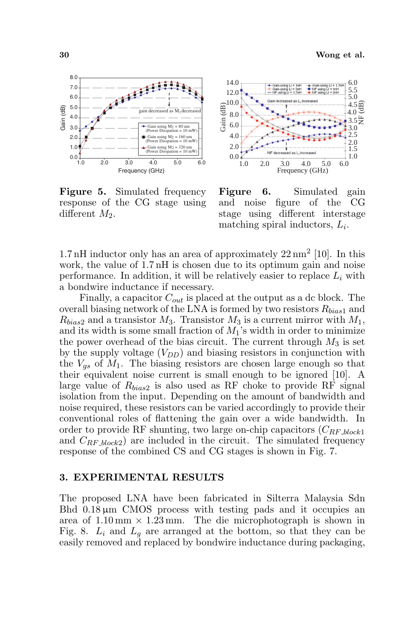

Figure 5. Simulated frequency response of the CG stage using different  $M_2$ .



Figure 6. Simulated gain and noise figure of the CG stage using different interstage matching spiral inductors,  $L_i$ .

1.7 nH inductor only has an area of approximately  $22 \text{ nm}^2$  [10]. In this work, the value of 1.7 nH is chosen due to its optimum gain and noise performance. In addition, it will be relatively easier to replace  $L_i$  with a bondwire inductance if necessary.

Finally, a capacitor  $C_{out}$  is placed at the output as a dc block. The overall biasing network of the LNA is formed by two resistors  $R_{bias1}$  and  $R_{bias2}$  and a transistor  $M_3$ . Transistor  $M_3$  is a current mirror with  $M_1$ , and its width is some small fraction of  $M_1$ 's width in order to minimize the power overhead of the bias circuit. The current through  $M_3$  is set by the supply voltage  $(V_{DD})$  and biasing resistors in conjunction with the  $V_{gs}$  of  $M_1$ . The biasing resistors are chosen large enough so that their equivalent noise current is small enough to be ignored [10]. A large value of  $R_{bias2}$  is also used as RF choke to provide RF signal isolation from the input. Depending on the amount of bandwidth and noise required, these resistors can be varied accordingly to provide their conventional roles of flattening the gain over a wide bandwidth. In order to provide RF shunting, two large on-chip capacitors  $(C_{RF\_block1})$ and  $C_{RF\_block2}$  are included in the circuit. The simulated frequency response of the combined CS and CG stages is shown in Fig. 7.

### 3. EXPERIMENTAL RESULTS

The proposed LNA have been fabricated in Silterra Malaysia Sdn Bhd  $0.18 \,\mu\text{m}$  CMOS process with testing pads and it occupies an area of  $1.10 \text{ mm} \times 1.23 \text{ mm}$ . The die microphotograph is shown in Fig. 8.  $L_i$  and  $L_q$  are arranged at the bottom, so that they can be easily removed and replaced by bondwire inductance during packaging,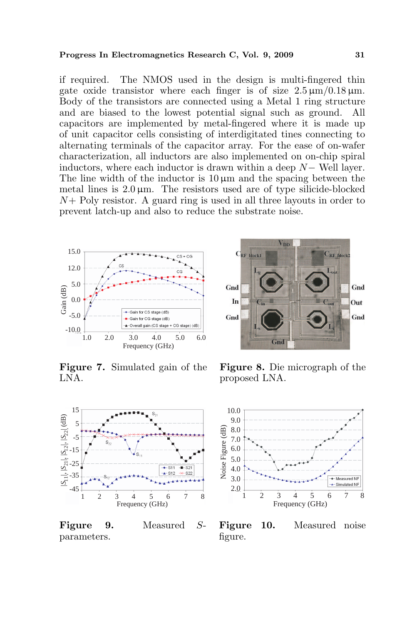if required. The NMOS used in the design is multi-fingered thin gate oxide transistor where each finger is of size  $2.5 \,\mathrm{\mu m} / 0.18 \,\mathrm{\mu m}$ . Body of the transistors are connected using a Metal 1 ring structure and are biased to the lowest potential signal such as ground. All capacitors are implemented by metal-fingered where it is made up of unit capacitor cells consisting of interdigitated tines connecting to alternating terminals of the capacitor array. For the ease of on-wafer characterization, all inductors are also implemented on on-chip spiral inductors, where each inductor is drawn within a deep N− Well layer. The line width of the inductor is  $10 \mu m$  and the spacing between the metal lines is  $2.0 \,\mu\text{m}$ . The resistors used are of type silicide-blocked  $N+$  Poly resistor. A guard ring is used in all three layouts in order to prevent latch-up and also to reduce the substrate noise.



Figure 7. Simulated gain of the LNA.



Figure 9. Measured Sparameters.



Figure 8. Die micrograph of the proposed LNA.



Figure 10. Measured noise figure.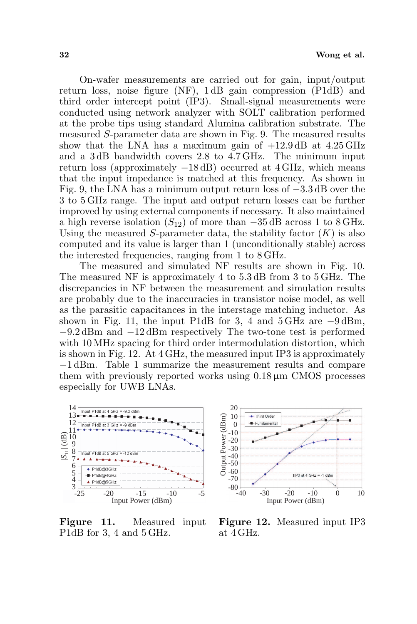On-wafer measurements are carried out for gain, input/output return loss, noise figure (NF), 1 dB gain compression (P1dB) and third order intercept point (IP3). Small-signal measurements were conducted using network analyzer with SOLT calibration performed at the probe tips using standard Alumina calibration substrate. The measured S-parameter data are shown in Fig. 9. The measured results show that the LNA has a maximum gain of  $+12.9 \text{ dB}$  at  $4.25 \text{ GHz}$ and a 3 dB bandwidth covers 2.8 to 4.7 GHz. The minimum input return loss (approximately −18 dB) occurred at 4 GHz, which means that the input impedance is matched at this frequency. As shown in Fig. 9, the LNA has a minimum output return loss of −3.3 dB over the 3 to 5 GHz range. The input and output return losses can be further improved by using external components if necessary. It also maintained a high reverse isolation  $(S_{12})$  of more than  $-35$  dB across 1 to 8 GHz. Using the measured S-parameter data, the stability factor  $(K)$  is also computed and its value is larger than 1 (unconditionally stable) across the interested frequencies, ranging from 1 to 8 GHz.

The measured and simulated NF results are shown in Fig. 10. The measured NF is approximately 4 to 5.3 dB from 3 to 5 GHz. The discrepancies in NF between the measurement and simulation results are probably due to the inaccuracies in transistor noise model, as well as the parasitic capacitances in the interstage matching inductor. As shown in Fig. 11, the input P1dB for 3, 4 and  $5\,\text{GHz}$  are  $-9\,\text{dBm}$ , −9.2 dBm and −12 dBm respectively The two-tone test is performed with 10 MHz spacing for third order intermodulation distortion, which is shown in Fig. 12. At 4 GHz, the measured input IP3 is approximately −1 dBm. Table 1 summarize the measurement results and compare them with previously reported works using  $0.18 \mu m$  CMOS processes especially for UWB LNAs.



Figure 11. Measured input P1dB for 3, 4 and 5 GHz.



Figure 12. Measured input IP3 at 4 GHz.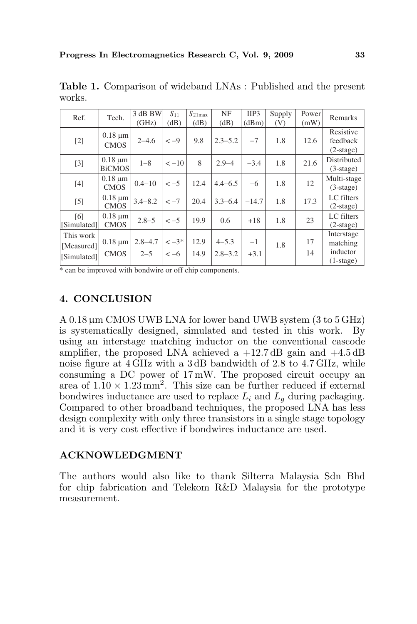| Ref.        | Tech.                         | 3 dB BW     | $S_{11}$  | $S_{21max}$ | NF          | IIP <sub>3</sub> | Supply | Power | Remarks            |
|-------------|-------------------------------|-------------|-----------|-------------|-------------|------------------|--------|-------|--------------------|
|             |                               | (GHz)       | (dB)      | (dB)        | (dB)        | (dBm)            | (V)    | (mW)  |                    |
|             | $0.18 \mu m$                  |             |           |             |             |                  |        |       | Resistive          |
| $[2]$       | <b>CMOS</b>                   | $2 - 4.6$   | $<-9$     | 9.8         | $2.3 - 5.2$ | $-7$             | 1.8    | 12.6  | feedback           |
|             |                               |             |           |             |             |                  |        |       | $(2\text{-stage})$ |
| $[3]$       | $0.18 \mu m$<br><b>BiCMOS</b> | $1 - 8$     | $<-10$    | 8           | $2.9 - 4$   | $-3.4$           | 1.8    | 21.6  | Distributed        |
|             |                               |             |           |             |             |                  |        |       | $(3\text{-stage})$ |
|             | $0.18 \mu m$                  |             |           |             |             |                  |        |       | Multi-stage        |
| $[4]$       | <b>CMOS</b>                   | $0.4 - 10$  | $<-5$     | 12.4        | $4.4 - 6.5$ | $-6$             | 1.8    | 12    | $(3-stage)$        |
|             | $0.18 \mu m$                  | $3.4 - 8.2$ | $<-7$     | 20.4        | $3.3 - 6.4$ | $-14.7$          | 1.8    | 17.3  | LC filters         |
| $[5]$       | <b>CMOS</b>                   |             |           |             |             |                  |        |       | $(2\text{-stage})$ |
| [6]         | $0.18 \mu m$                  |             | $<-5$     | 19.9        |             |                  |        |       | LC filters         |
| [Simulated] | <b>CMOS</b>                   | $2.8 - 5$   |           |             | 0.6         | $+18$            | 1.8    | 23    | $(2\text{-stage})$ |
| This work   |                               |             |           |             |             |                  |        |       | Interstage         |
| [Measured]  | $0.18 \mu m$                  | $2.8 - 4.7$ | $\le -3*$ | 12.9        | $4 - 5.3$   | $-1$             | 1.8    | 17    | matching           |
| [Simulated] | <b>CMOS</b>                   | $2 - 5$     | $<-6$     | 14.9        | $2.8 - 3.2$ | $+3.1$           |        | 14    | inductor           |
|             |                               |             |           |             |             |                  |        |       | $(1-state)$        |

Table 1. Comparison of wideband LNAs : Published and the present works.

\* can be improved with bondwire or off chip components.

## 4. CONCLUSION

A 0.18 µm CMOS UWB LNA for lower band UWB system (3 to 5 GHz) is systematically designed, simulated and tested in this work. By using an interstage matching inductor on the conventional cascode amplifier, the proposed LNA achieved a  $+12.7 \text{ dB}$  gain and  $+4.5 \text{ dB}$ noise figure at 4 GHz with a 3 dB bandwidth of 2.8 to 4.7 GHz, while consuming a DC power of 17 mW. The proposed circuit occupy an area of  $1.10 \times 1.23$  mm<sup>2</sup>. This size can be further reduced if external bondwires inductance are used to replace  $L_i$  and  $L_q$  during packaging. Compared to other broadband techniques, the proposed LNA has less design complexity with only three transistors in a single stage topology and it is very cost effective if bondwires inductance are used.

### ACKNOWLEDGMENT

The authors would also like to thank Silterra Malaysia Sdn Bhd for chip fabrication and Telekom R&D Malaysia for the prototype measurement.